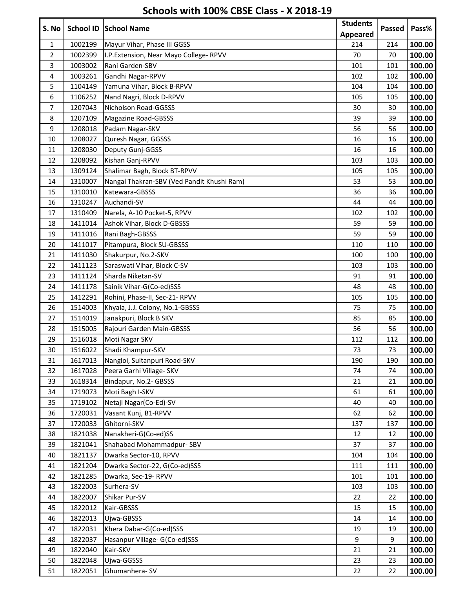| S. No          |                    | School ID School Name                      | <b>Students</b> |        | Pass%            |
|----------------|--------------------|--------------------------------------------|-----------------|--------|------------------|
|                |                    |                                            | <b>Appeared</b> | Passed |                  |
| $\mathbf{1}$   | 1002199            | Mayur Vihar, Phase III GGSS                | 214             | 214    | 100.00           |
| $\overline{2}$ | 1002399            | I.P. Extension, Near Mayo College-RPVV     | 70              | 70     | 100.00           |
| 3              | 1003002            | Rani Garden-SBV                            | 101             | 101    | 100.00           |
| 4              | 1003261            | Gandhi Nagar-RPVV                          | 102             | 102    | 100.00           |
| 5              | 1104149            | Yamuna Vihar, Block B-RPVV                 | 104             | 104    | 100.00           |
| 6              | 1106252            | Nand Nagri, Block D-RPVV                   | 105             | 105    | 100.00           |
| $\overline{7}$ | 1207043            | Nicholson Road-GGSSS                       | 30              | 30     | 100.00           |
| 8              | 1207109            | <b>Magazine Road-GBSSS</b>                 | 39              | 39     | 100.00           |
| 9              | 1208018            | Padam Nagar-SKV                            | 56              | 56     | 100.00           |
| 10             | 1208027            | Quresh Nagar, GGSSS                        | 16              | 16     | 100.00           |
| 11             | 1208030            | Deputy Gunj-GGSS                           | 16              | 16     | 100.00           |
| 12             | 1208092            | Kishan Ganj-RPVV                           | 103             | 103    | 100.00           |
| 13             | 1309124            | Shalimar Bagh, Block BT-RPVV               | 105             | 105    | 100.00           |
| 14             | 1310007            | Nangal Thakran-SBV (Ved Pandit Khushi Ram) | 53              | 53     | 100.00           |
| 15             | 1310010            | Katewara-GBSSS                             | 36              | 36     | 100.00           |
| 16             | 1310247            | Auchandi-SV                                | 44              | 44     | 100.00           |
| 17             | 1310409            | Narela, A-10 Pocket-5, RPVV                | 102             | 102    | 100.00           |
| 18             | 1411014            | Ashok Vihar, Block D-GBSSS                 | 59              | 59     | 100.00           |
| 19             | 1411016            | Rani Bagh-GBSSS                            | 59              | 59     | 100.00           |
| 20             | 1411017            | Pitampura, Block SU-GBSSS                  | 110             | 110    | 100.00           |
| 21             | 1411030            | Shakurpur, No.2-SKV                        | 100             | 100    | 100.00           |
| 22             | 1411123            | Saraswati Vihar, Block C-SV                | 103             | 103    | 100.00           |
| 23             | 1411124            | Sharda Niketan-SV                          | 91              | 91     | 100.00           |
| 24             | 1411178            | Sainik Vihar-G(Co-ed)SSS                   | 48              | 48     | 100.00           |
| 25             | 1412291            | Rohini, Phase-II, Sec-21- RPVV             | 105             | 105    | 100.00           |
| 26             | 1514003            | Khyala, J.J. Colony, No.1-GBSSS            | 75              | 75     | 100.00           |
| 27             | 1514019            | Janakpuri, Block B SKV                     | 85              | 85     | 100.00           |
| 28             | 1515005            | Rajouri Garden Main-GBSSS                  | 56              | 56     |                  |
| 29             | 1516018            | Moti Nagar SKV                             | 112             | 112    | 100.00<br>100.00 |
| 30             |                    | Shadi Khampur-SKV                          |                 |        |                  |
|                | 1516022            | Nangloi, Sultanpuri Road-SKV               | 73<br>190       | 73     | 100.00<br>100.00 |
| 31             | 1617013<br>1617028 |                                            |                 | 190    |                  |
| 32             |                    | Peera Garhi Village- SKV                   | 74              | 74     | 100.00           |
| 33             | 1618314            | Bindapur, No.2- GBSSS                      | 21              | 21     | 100.00           |
| 34             | 1719073            | Moti Bagh I-SKV                            | 61              | 61     | 100.00           |
| 35             | 1719102            | Netaji Nagar(Co-Ed)-SV                     | 40              | 40     | 100.00           |
| 36             | 1720031            | Vasant Kunj, B1-RPVV                       | 62              | 62     | 100.00           |
| 37             | 1720033            | Ghitorni-SKV                               | 137             | 137    | 100.00           |
| 38             | 1821038            | Nanakheri-G(Co-ed)SS                       | 12              | 12     | 100.00           |
| 39             | 1821041            | Shahabad Mohammadpur- SBV                  | 37              | 37     | 100.00           |
| 40             | 1821137            | Dwarka Sector-10, RPVV                     | 104             | 104    | 100.00           |
| 41             | 1821204            | Dwarka Sector-22, G(Co-ed)SSS              | 111             | 111    | 100.00           |
| 42             | 1821285            | Dwarka, Sec-19- RPVV                       | 101             | 101    | 100.00           |
| 43             | 1822003            | Surhera-SV                                 | 103             | 103    | 100.00           |
| 44             | 1822007            | Shikar Pur-SV                              | 22              | 22     | 100.00           |
| 45             | 1822012            | Kair-GBSSS                                 | 15              | 15     | 100.00           |
| 46             | 1822013            | Ujwa-GBSSS                                 | 14              | 14     | 100.00           |
| 47             | 1822031            | Khera Dabar-G(Co-ed)SSS                    | 19              | 19     | 100.00           |
| 48             | 1822037            | Hasanpur Village- G(Co-ed)SSS              | 9               | 9      | 100.00           |
| 49             | 1822040            | Kair-SKV                                   | 21              | 21     | 100.00           |
| 50             | 1822048            | Ujwa-GGSSS                                 | 23              | 23     | 100.00           |
| 51             | 1822051            | Ghumanhera-SV                              | 22              | 22     | 100.00           |

## Schools with 100% CBSE Class - X 2018-19